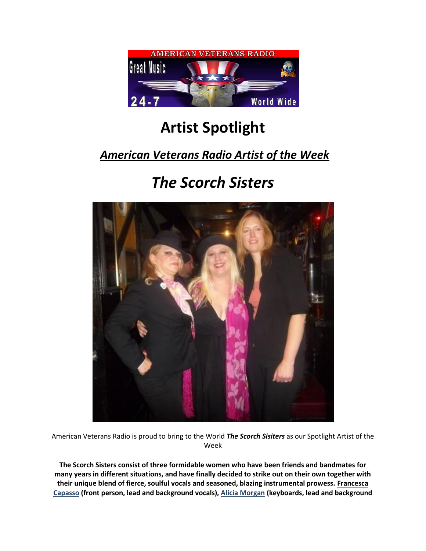

## **Artist Spotlight**

## *American Veterans Radio Artist of the Week*

## *The Scorch Sisters*



American Veterans Radio is [proud to bring](http://www.randellkwakefield.com/) to the World *The Scorch Sisiters* as our Spotlight Artist of the Week

**The Scorch Sisters consist of three formidable women who have been friends and bandmates for many years in different situations, and have finally decided to strike out on their own together with their unique blend of fierce, soulful vocals and seasoned, blazing instrumental prowess[. Francesca](http://thescorchsisters.ning.com/page/about-francesca)  [Capasso](http://thescorchsisters.ning.com/page/about-francesca) (front person, lead and background vocals)[, Alicia Morgan](http://thescorchsisters.ning.com/page/about-alicia) (keyboards, lead and background**